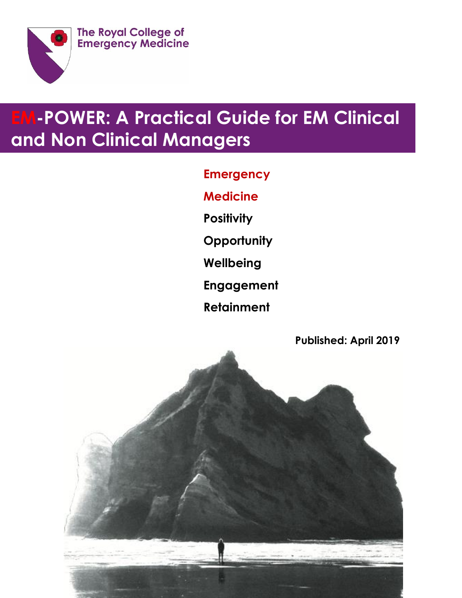

# **EM-POWER: A Practical Guide for EM Clinical and Non Clinical Managers**

**Emergency Medicine Positivity Opportunity Wellbeing**

**Engagement**

**Retainment**

**Published: April 2019**

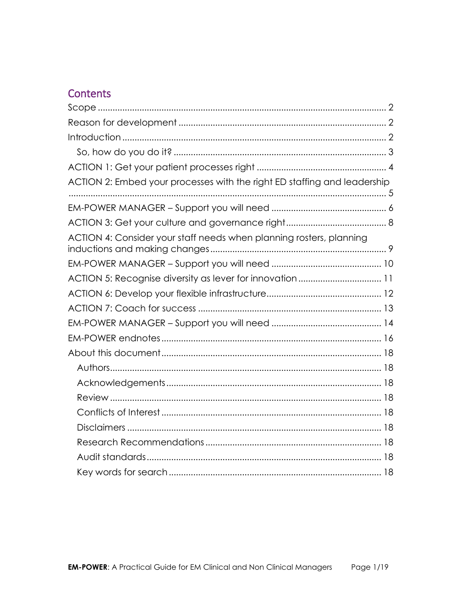# **Contents**

| ACTION 2: Embed your processes with the right ED staffing and leadership |
|--------------------------------------------------------------------------|
|                                                                          |
|                                                                          |
| ACTION 4: Consider your staff needs when planning rosters, planning      |
|                                                                          |
|                                                                          |
|                                                                          |
|                                                                          |
|                                                                          |
|                                                                          |
|                                                                          |
|                                                                          |
|                                                                          |
|                                                                          |
|                                                                          |
|                                                                          |
|                                                                          |
|                                                                          |
|                                                                          |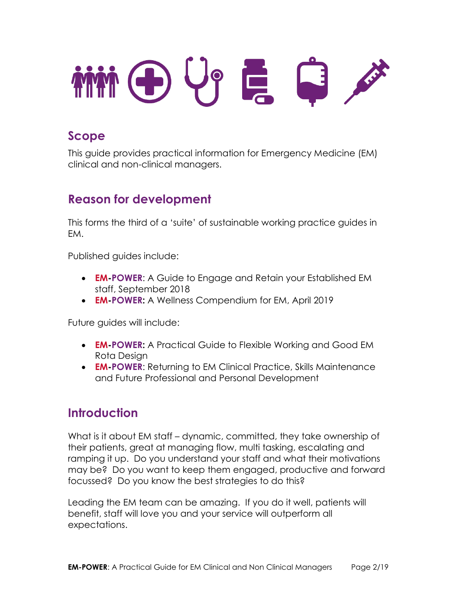

# <span id="page-2-0"></span>**Scope**

This guide provides practical information for Emergency Medicine (EM) clinical and non-clinical managers.

# <span id="page-2-1"></span>**Reason for development**

This forms the third of a 'suite' of sustainable working practice guides in EM.

Published guides include:

- **EM-POWER**: A Guide to Engage and Retain your Established EM staff, September 2018
- **EM-POWER:** A Wellness Compendium for EM, April 2019

Future guides will include:

- **EM-POWER:** A Practical Guide to Flexible Working and Good EM Rota Design
- **EM-POWER**: Returning to EM Clinical Practice, Skills Maintenance and Future Professional and Personal Development

# <span id="page-2-2"></span>**Introduction**

What is it about EM staff – dynamic, committed, they take ownership of their patients, great at managing flow, multi tasking, escalating and ramping it up. Do you understand your staff and what their motivations may be? Do you want to keep them engaged, productive and forward focussed? Do you know the best strategies to do this?

Leading the EM team can be amazing. If you do it well, patients will benefit, staff will love you and your service will outperform all expectations.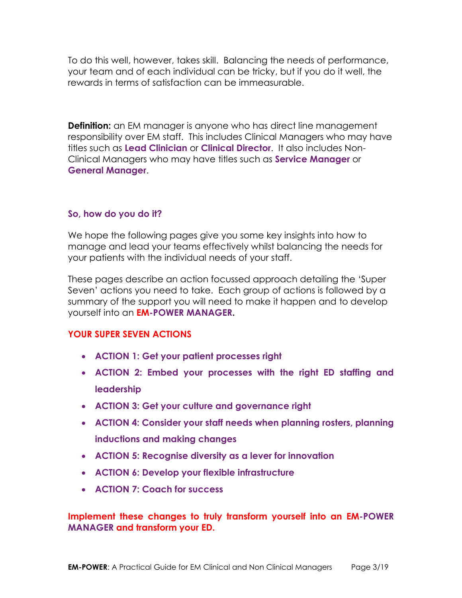To do this well, however, takes skill. Balancing the needs of performance, your team and of each individual can be tricky, but if you do it well, the rewards in terms of satisfaction can be immeasurable.

**Definition:** an EM manager is anyone who has direct line management responsibility over EM staff. This includes Clinical Managers who may have titles such as **Lead Clinician** or **Clinical Director**. It also includes Non-Clinical Managers who may have titles such as **Service Manager** or **General Manager**.

### <span id="page-3-0"></span>**So, how do you do it?**

We hope the following pages give you some key insights into how to manage and lead your teams effectively whilst balancing the needs for your patients with the individual needs of your staff.

These pages describe an action focussed approach detailing the 'Super Seven' actions you need to take. Each group of actions is followed by a summary of the support you will need to make it happen and to develop yourself into an **EM-POWER MANAGER.**

### **YOUR SUPER SEVEN ACTIONS**

- **ACTION 1: Get your patient processes right**
- **ACTION 2: Embed your processes with the right ED staffing and leadership**
- **ACTION 3: Get your culture and governance right**
- **ACTION 4: Consider your staff needs when planning rosters, planning inductions and making changes**
- **ACTION 5: Recognise diversity as a lever for innovation**
- **ACTION 6: Develop your flexible infrastructure**
- **ACTION 7: Coach for success**

### **Implement these changes to truly transform yourself into an EM-POWER MANAGER and transform your ED.**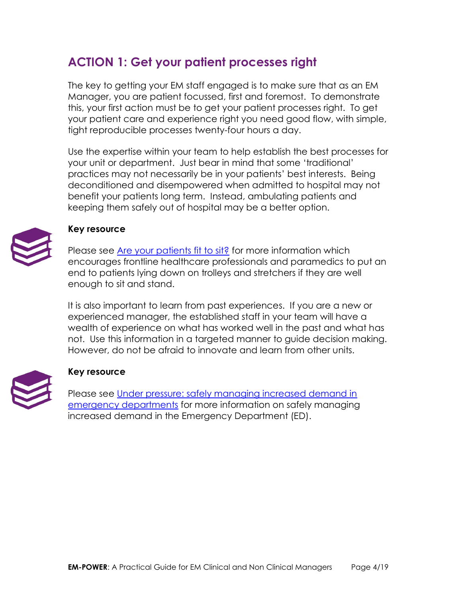# <span id="page-4-0"></span>**ACTION 1: Get your patient processes right**

The key to getting your EM staff engaged is to make sure that as an EM Manager, you are patient focussed, first and foremost. To demonstrate this, your first action must be to get your patient processes right. To get your patient care and experience right you need good flow, with simple, tight reproducible processes twenty-four hours a day.

Use the expertise within your team to help establish the best processes for your unit or department. Just bear in mind that some 'traditional' practices may not necessarily be in your patients' best interests. Being deconditioned and disempowered when admitted to hospital may not benefit your patients long term. Instead, ambulating patients and keeping them safely out of hospital may be a better option.



### **Key resource**

Please see [Are your patients fit to sit?](https://improvement.nhs.uk/resources/are-your-patients-fit-sit/) for more information which encourages frontline healthcare professionals and paramedics to put an end to patients lying down on trolleys and stretchers if they are well enough to sit and stand.

It is also important to learn from past experiences. If you are a new or experienced manager, the established staff in your team will have a wealth of experience on what has worked well in the past and what has not. Use this information in a targeted manner to guide decision making. However, do not be afraid to innovate and learn from other units.



### **Key resource**

Please see [Under pressure: safely managing increased demand in](https://www.cqc.org.uk/publications/themed-work/under-pressure-safely-managing-increased-demand-emergency-departments)  [emergency departments](https://www.cqc.org.uk/publications/themed-work/under-pressure-safely-managing-increased-demand-emergency-departments) for more information on safely managing increased demand in the Emergency Department (ED).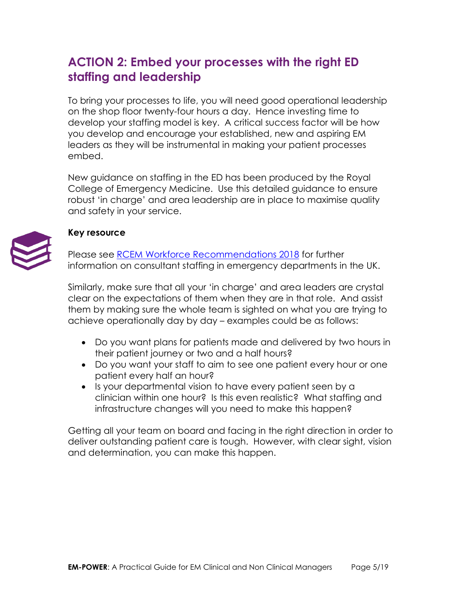# <span id="page-5-0"></span>**ACTION 2: Embed your processes with the right ED staffing and leadership**

To bring your processes to life, you will need good operational leadership on the shop floor twenty-four hours a day. Hence investing time to develop your staffing model is key. A critical success factor will be how you develop and encourage your established, new and aspiring EM leaders as they will be instrumental in making your patient processes embed.

New guidance on staffing in the ED has been produced by the Royal College of Emergency Medicine. Use this detailed guidance to ensure robust 'in charge' and area leadership are in place to maximise quality and safety in your service.

## **Key resource**

Please see [RCEM Workforce Recommendations 2018](https://www.rcem.ac.uk/docs/Workforce/RCEM_Consultant_Workforce_Document_(revised_Feb_2019).pdf) for further information on consultant staffing in emergency departments in the UK.

Similarly, make sure that all your 'in charge' and area leaders are crystal clear on the expectations of them when they are in that role. And assist them by making sure the whole team is sighted on what you are trying to achieve operationally day by day – examples could be as follows:

- Do you want plans for patients made and delivered by two hours in their patient journey or two and a half hours?
- Do you want your staff to aim to see one patient every hour or one patient every half an hour?
- Is your departmental vision to have every patient seen by a clinician within one hour? Is this even realistic? What staffing and infrastructure changes will you need to make this happen?

Getting all your team on board and facing in the right direction in order to deliver outstanding patient care is tough. However, with clear sight, vision and determination, you can make this happen.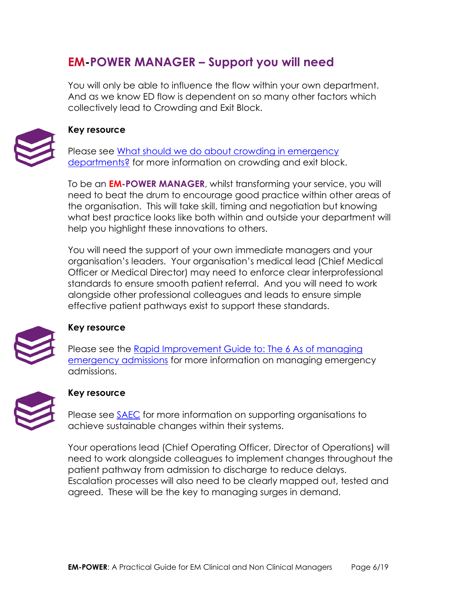# <span id="page-6-0"></span>**EM-POWER MANAGER – Support you will need**

You will only be able to influence the flow within your own department. And as we know ED flow is dependent on so many other factors which collectively lead to Crowding and Exit Block.



#### **Key resource**

Please see [What should we do about crowding in emergency](https://www.magonlinelibrary.com/doi/full/10.12968/hmed.2018.79.9.500)  [departments?](https://www.magonlinelibrary.com/doi/full/10.12968/hmed.2018.79.9.500) for more information on crowding and exit block.

To be an **EM-POWER MANAGER**, whilst transforming your service, you will need to beat the drum to encourage good practice within other areas of the organisation. This will take skill, timing and negotiation but knowing what best practice looks like both within and outside your department will help you highlight these innovations to others.

You will need the support of your own immediate managers and your organisation's leaders. Your organisation's medical lead (Chief Medical Officer or Medical Director) may need to enforce clear interprofessional standards to ensure smooth patient referral. And you will need to work alongside other professional colleagues and leads to ensure simple effective patient pathways exist to support these standards.



### **Key resource**

[Please see the Rapid Improvement Guide to: The 6 As of managing](https://improvement.nhs.uk/documents/630/6As-managing-emergency-admissions-RIG.pdf)  [emergency admissions](https://improvement.nhs.uk/documents/630/6As-managing-emergency-admissions-RIG.pdf) for more information on managing emergency admissions.



### **Key resource**

Please see **SAEC** for more information on supporting organisations to achieve sustainable changes within their systems.

Your operations lead (Chief Operating Officer, Director of Operations) will need to work alongside colleagues to implement changes throughout the patient pathway from admission to discharge to reduce delays. Escalation processes will also need to be clearly mapped out, tested and agreed. These will be the key to managing surges in demand.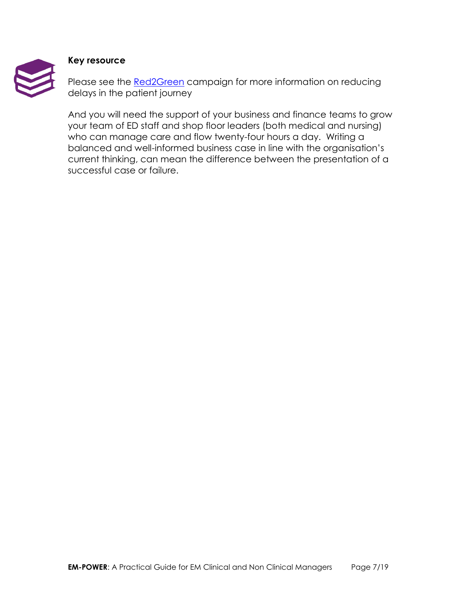

#### **Key resource**

Please see the [Red2Green](https://improvement.nhs.uk/improvement-offers/red2green-campaign/) campaign for more information on reducing delays in the patient journey

And you will need the support of your business and finance teams to grow your team of ED staff and shop floor leaders (both medical and nursing) who can manage care and flow twenty-four hours a day. Writing a balanced and well-informed business case in line with the organisation's current thinking, can mean the difference between the presentation of a successful case or failure.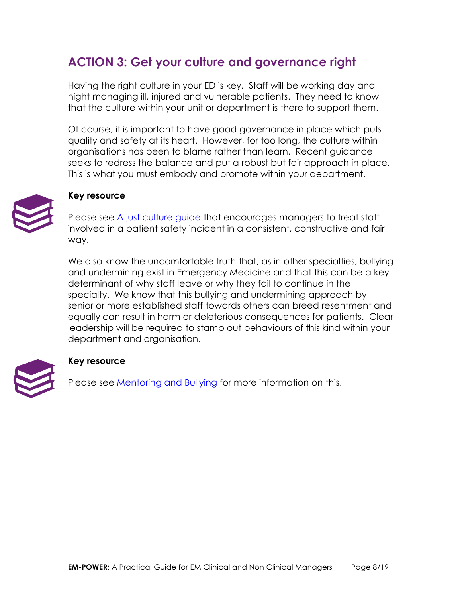# <span id="page-8-0"></span>**ACTION 3: Get your culture and governance right**

Having the right culture in your ED is key. Staff will be working day and night managing ill, injured and vulnerable patients. They need to know that the culture within your unit or department is there to support them.

Of course, it is important to have good governance in place which puts quality and safety at its heart. However, for too long, the culture within organisations has been to blame rather than learn. Recent guidance seeks to redress the balance and put a robust but fair approach in place. This is what you must embody and promote within your department.



### **Key resource**

Please see [A just culture guide](https://improvement.nhs.uk/resources/just-culture-guide/) that encourages managers to treat staff involved in a patient safety incident in a consistent, constructive and fair way.

We also know the uncomfortable truth that, as in other specialties, bullying and undermining exist in Emergency Medicine and that this can be a key determinant of why staff leave or why they fail to continue in the specialty. We know that this bullying and undermining approach by senior or more established staff towards others can breed resentment and equally can result in harm or deleterious consequences for patients. Clear leadership will be required to stamp out behaviours of this kind within your department and organisation.



### **Key resource**

Please see [Mentoring and Bullying](http://www.emtraineesassociation.co.uk/mentoring-and-bullying.html) for more information on this.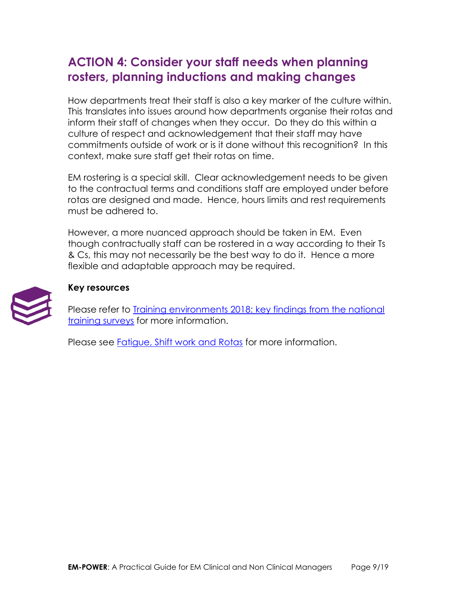# <span id="page-9-0"></span>**ACTION 4: Consider your staff needs when planning rosters, planning inductions and making changes**

How departments treat their staff is also a key marker of the culture within. This translates into issues around how departments organise their rotas and inform their staff of changes when they occur. Do they do this within a culture of respect and acknowledgement that their staff may have commitments outside of work or is it done without this recognition? In this context, make sure staff get their rotas on time.

EM rostering is a special skill. Clear acknowledgement needs to be given to the contractual terms and conditions staff are employed under before rotas are designed and made. Hence, hours limits and rest requirements must be adhered to.

However, a more nuanced approach should be taken in EM. Even though contractually staff can be rostered in a way according to their Ts & Cs, this may not necessarily be the best way to do it. Hence a more flexible and adaptable approach may be required.



### **Key resources**

Please refer to [Training environments 2018: key findings from the national](https://www.gmc-uk.org/-/media/documents/training-environments-2018_pdf-76667101.pdf?dm_i=2P18,SO0V,5Q6R3Z,2Y9YT,1)  [training surveys](https://www.gmc-uk.org/-/media/documents/training-environments-2018_pdf-76667101.pdf?dm_i=2P18,SO0V,5Q6R3Z,2Y9YT,1) for more information.

Please see **Fatigue, Shift work and Rotas** for more information.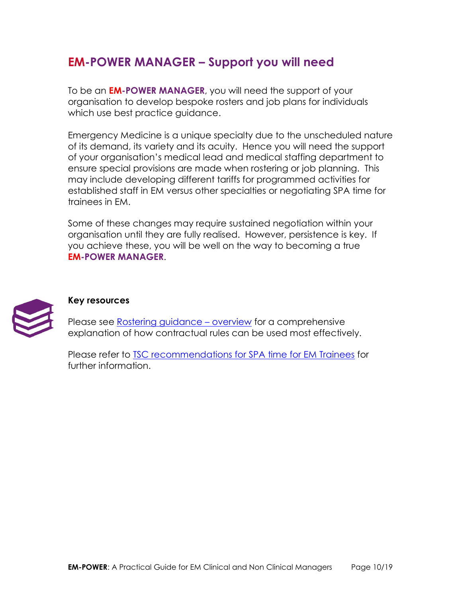# <span id="page-10-0"></span>**EM-POWER MANAGER – Support you will need**

To be an **EM-POWER MANAGER**, you will need the support of your organisation to develop bespoke rosters and job plans for individuals which use best practice quidance.

Emergency Medicine is a unique specialty due to the unscheduled nature of its demand, its variety and its acuity. Hence you will need the support of your organisation's medical lead and medical staffing department to ensure special provisions are made when rostering or job planning. This may include developing different tariffs for programmed activities for established staff in EM versus other specialties or negotiating SPA time for trainees in EM.

Some of these changes may require sustained negotiation within your organisation until they are fully realised. However, persistence is key. If you achieve these, you will be well on the way to becoming a true **EM-POWER MANAGER**.



### **Key resources**

Please see [Rostering guidance](https://www.bma.org.uk/advice/employment/contracts/junior-doctor-contract/rostering-guidance/overview) – overview for a comprehensive explanation of how contractual rules can be used most effectively.

Please refer to **TSC recommendations for SPA time for EM Trainees** for further information.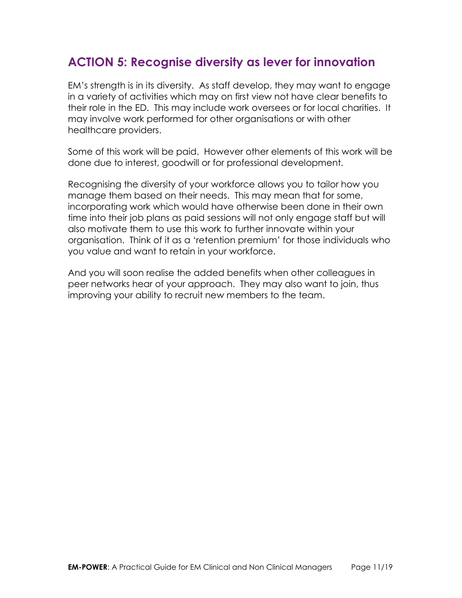# <span id="page-11-0"></span>**ACTION 5: Recognise diversity as lever for innovation**

EM's strength is in its diversity. As staff develop, they may want to engage in a variety of activities which may on first view not have clear benefits to their role in the ED. This may include work oversees or for local charities. It may involve work performed for other organisations or with other healthcare providers.

Some of this work will be paid. However other elements of this work will be done due to interest, goodwill or for professional development.

Recognising the diversity of your workforce allows you to tailor how you manage them based on their needs. This may mean that for some, incorporating work which would have otherwise been done in their own time into their job plans as paid sessions will not only engage staff but will also motivate them to use this work to further innovate within your organisation. Think of it as a 'retention premium' for those individuals who you value and want to retain in your workforce.

And you will soon realise the added benefits when other colleagues in peer networks hear of your approach. They may also want to join, thus improving your ability to recruit new members to the team.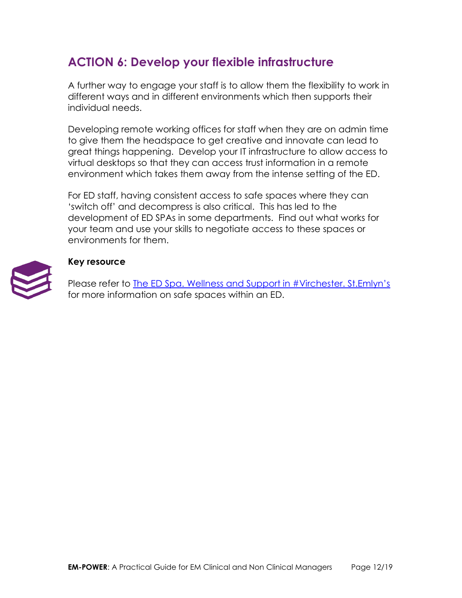# <span id="page-12-0"></span>**ACTION 6: Develop your flexible infrastructure**

A further way to engage your staff is to allow them the flexibility to work in different ways and in different environments which then supports their individual needs.

Developing remote working offices for staff when they are on admin time to give them the headspace to get creative and innovate can lead to great things happening. Develop your IT infrastructure to allow access to virtual desktops so that they can access trust information in a remote environment which takes them away from the intense setting of the ED.

For ED staff, having consistent access to safe spaces where they can 'switch off' and decompress is also critical. This has led to the development of ED SPAs in some departments. Find out what works for your team and use your skills to negotiate access to these spaces or environments for them.



### **Key resource**

Please refer to The ED Spa. Welln[ess and Support in #Virchester. St.Emlyn's](http://www.stemlynsblog.org/the-ed-spa-wellness-and-support-in-virchester-st-emlyns/) for more information on safe spaces within an ED.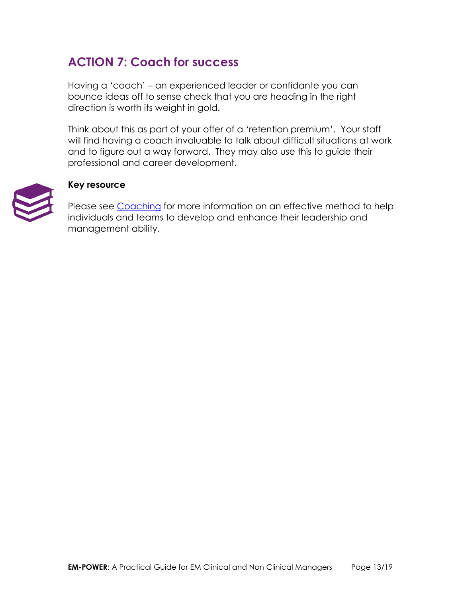# <span id="page-13-0"></span>**ACTION 7: Coach for success**

Having a 'coach' – an experienced leader or confidante you can bounce ideas off to sense check that you are heading in the right direction is worth its weight in gold.

Think about this as part of your offer of a 'retention premium'. Your staff will find having a coach invaluable to talk about difficult situations at work and to figure out a way forward. They may also use this to guide their professional and career development.



### **Key resource**

Please see [Coaching](https://www.fmlm.ac.uk/programme-services/individual-support/coaching) for more information on an effective method to help individuals and teams to develop and enhance their leadership and management ability.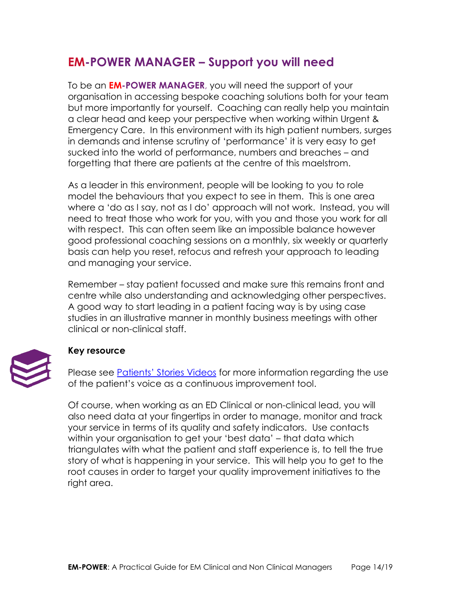# <span id="page-14-0"></span>**EM-POWER MANAGER – Support you will need**

To be an **EM-POWER MANAGER**, you will need the support of your organisation in accessing bespoke coaching solutions both for your team but more importantly for yourself. Coaching can really help you maintain a clear head and keep your perspective when working within Urgent & Emergency Care. In this environment with its high patient numbers, surges in demands and intense scrutiny of 'performance' it is very easy to get sucked into the world of performance, numbers and breaches – and forgetting that there are patients at the centre of this maelstrom.

As a leader in this environment, people will be looking to you to role model the behaviours that you expect to see in them. This is one area where a 'do as I say, not as I do' approach will not work. Instead, you will need to treat those who work for you, with you and those you work for all with respect. This can often seem like an impossible balance however good professional coaching sessions on a monthly, six weekly or quarterly basis can help you reset, refocus and refresh your approach to leading and managing your service.

Remember – stay patient focussed and make sure this remains front and centre while also understanding and acknowledging other perspectives. A good way to start leading in a patient facing way is by using case studies in an illustrative manner in monthly business meetings with other clinical or non-clinical staff.



### **Key resource**

Please see [Patients' Stories Videos](https://www.hse.ie/eng/about/who/qid/person-family-engagement/resourcesqid/patients-stories-videos.html) for more information regarding the use of the patient's voice as a continuous improvement tool.

Of course, when working as an ED Clinical or non-clinical lead, you will also need data at your fingertips in order to manage, monitor and track your service in terms of its quality and safety indicators. Use contacts within your organisation to get your 'best data' – that data which triangulates with what the patient and staff experience is, to tell the true story of what is happening in your service. This will help you to get to the root causes in order to target your quality improvement initiatives to the right area.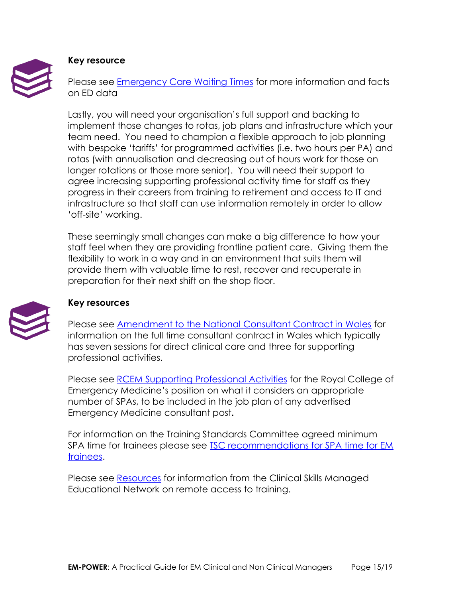

### **Key resource**

Please see [Emergency Care Waiting Times](https://www.health-ni.gov.uk/sites/default/files/publications/health/hs-niwts-ecwt-interactive-q3a-18-19.html) for more information and facts on ED data

Lastly, you will need your organisation's full support and backing to implement those changes to rotas, job plans and infrastructure which your team need. You need to champion a flexible approach to job planning with bespoke 'tariffs' for programmed activities (i.e. two hours per PA) and rotas (with annualisation and decreasing out of hours work for those on longer rotations or those more senior). You will need their support to agree increasing supporting professional activity time for staff as they progress in their careers from training to retirement and access to IT and infrastructure so that staff can use information remotely in order to allow 'off-site' working.

These seemingly small changes can make a big difference to how your staff feel when they are providing frontline patient care. Giving them the flexibility to work in a way and in an environment that suits them will provide them with valuable time to rest, recover and recuperate in preparation for their next shift on the shop floor.



### **Key resources**

Please see [Amendment to the National Consultant Contract in Wales](http://www.wales.nhs.uk/sites3/documents/433/Nat_Consultant_Contract.pdf) for information on the full time consultant contract in Wales which typically has seven sessions for direct clinical care and three for supporting professional activities.

Please see [RCEM Supporting Professional Activities](https://www.rcem.ac.uk/docs/Workforce/RCEM_SPA%20Policy_FINAL%202018.pdf) for the Royal College of Emergency Medicine's position on what it considers an appropriate number of SPAs, to be included in the job plan of any advertised Emergency Medicine consultant post**.**

For information on the Training Standards Committee agreed minimum SPA time for trainees please see TSC recommendations for SPA time for EM [trainees.](https://twitter.com/emtacommittee/status/1045729363856117761)

Please see [Resources](http://www.csmen.scot.nhs.uk/resources/) for information from the Clinical Skills Managed Educational Network on remote access to training.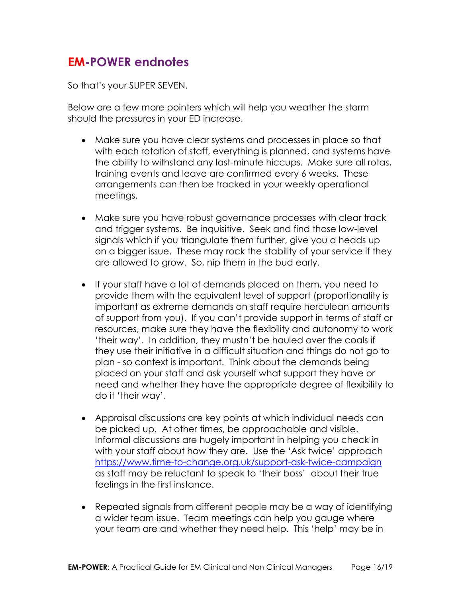# <span id="page-16-0"></span>**EM-POWER endnotes**

So that's your SUPER SEVEN.

Below are a few more pointers which will help you weather the storm should the pressures in your ED increase.

- Make sure you have clear systems and processes in place so that with each rotation of staff, everything is planned, and systems have the ability to withstand any last-minute hiccups. Make sure all rotas, training events and leave are confirmed every 6 weeks. These arrangements can then be tracked in your weekly operational meetings.
- Make sure you have robust governance processes with clear track and trigger systems. Be inquisitive. Seek and find those low-level signals which if you triangulate them further, give you a heads up on a bigger issue. These may rock the stability of your service if they are allowed to grow. So, nip them in the bud early.
- If your staff have a lot of demands placed on them, you need to provide them with the equivalent level of support (proportionality is important as extreme demands on staff require herculean amounts of support from you). If you can't provide support in terms of staff or resources, make sure they have the flexibility and autonomy to work 'their way'. In addition, they mustn't be hauled over the coals if they use their initiative in a difficult situation and things do not go to plan - so context is important. Think about the demands being placed on your staff and ask yourself what support they have or need and whether they have the appropriate degree of flexibility to do it 'their way'.
- Appraisal discussions are key points at which individual needs can be picked up. At other times, be approachable and visible. Informal discussions are hugely important in helping you check in with your staff about how they are. Use the 'Ask twice' approach <https://www.time-to-change.org.uk/support-ask-twice-campaign> as staff may be reluctant to speak to 'their boss' about their true feelings in the first instance.
- Repeated signals from different people may be a way of identifying a wider team issue. Team meetings can help you gauge where your team are and whether they need help. This 'help' may be in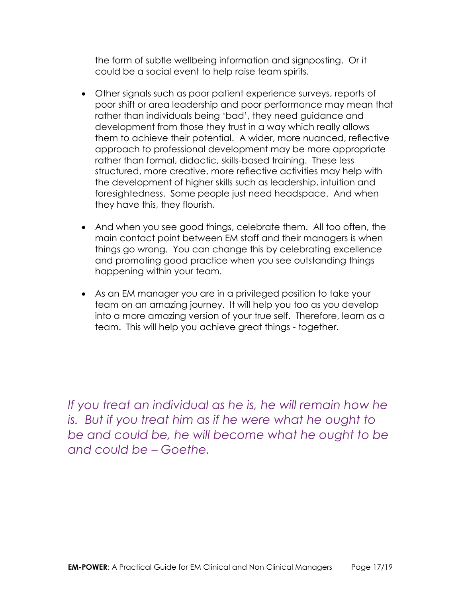the form of subtle wellbeing information and signposting. Or it could be a social event to help raise team spirits.

- Other signals such as poor patient experience surveys, reports of poor shift or area leadership and poor performance may mean that rather than individuals being 'bad', they need guidance and development from those they trust in a way which really allows them to achieve their potential. A wider, more nuanced, reflective approach to professional development may be more appropriate rather than formal, didactic, skills-based training. These less structured, more creative, more reflective activities may help with the development of higher skills such as leadership, intuition and foresightedness. Some people just need headspace. And when they have this, they flourish.
- And when you see good things, celebrate them. All too often, the main contact point between EM staff and their managers is when things go wrong. You can change this by celebrating excellence and promoting good practice when you see outstanding things happening within your team.
- As an EM manager you are in a privileged position to take your team on an amazing journey. It will help you too as you develop into a more amazing version of your true self. Therefore, learn as a team. This will help you achieve great things - together.

*If you treat an individual as he is, he will remain how he is. But if you treat him as if he were what he ought to be and could be, he will become what he ought to be and could be – Goethe.*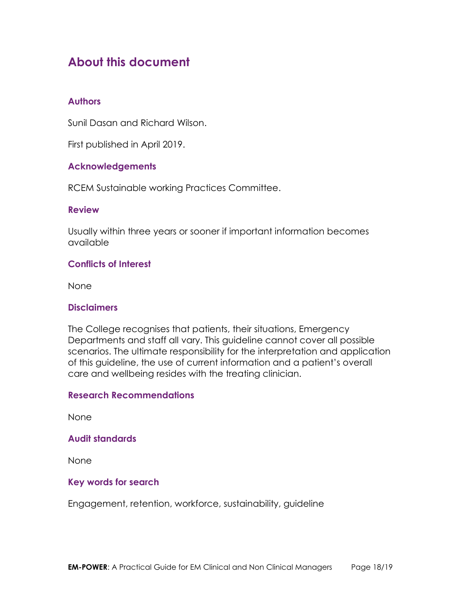# <span id="page-18-0"></span>**About this document**

### <span id="page-18-1"></span>**Authors**

Sunil Dasan and Richard Wilson.

First published in April 2019.

### <span id="page-18-2"></span>**Acknowledgements**

RCEM Sustainable working Practices Committee.

### <span id="page-18-3"></span>**Review**

Usually within three years or sooner if important information becomes available

### <span id="page-18-4"></span>**Conflicts of Interest**

None

### <span id="page-18-5"></span>**Disclaimers**

The College recognises that patients, their situations, Emergency Departments and staff all vary. This guideline cannot cover all possible scenarios. The ultimate responsibility for the interpretation and application of this guideline, the use of current information and a patient's overall care and wellbeing resides with the treating clinician.

### <span id="page-18-6"></span>**Research Recommendations**

None

### <span id="page-18-7"></span>**Audit standards**

None

### <span id="page-18-8"></span>**Key words for search**

Engagement, retention, workforce, sustainability, guideline